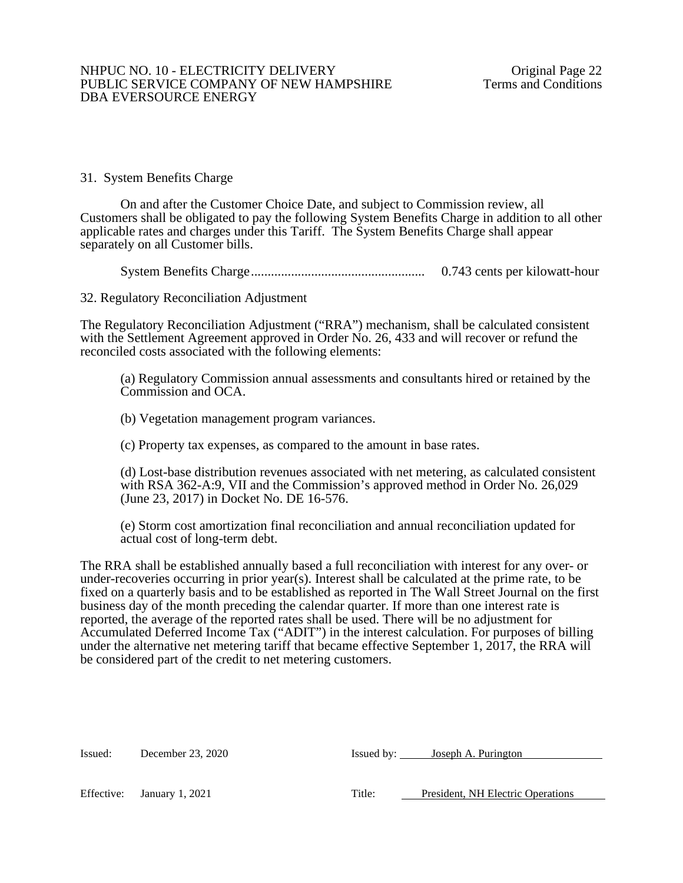## 31. System Benefits Charge

On and after the Customer Choice Date, and subject to Commission review, all Customers shall be obligated to pay the following System Benefits Charge in addition to all other applicable rates and charges under this Tariff. The System Benefits Charge shall appear separately on all Customer bills.

System Benefits Charge.................................................... 0.743 cents per kilowatt-hour

32. Regulatory Reconciliation Adjustment

The Regulatory Reconciliation Adjustment ("RRA") mechanism, shall be calculated consistent with the Settlement Agreement approved in Order No. 26, 433 and will recover or refund the reconciled costs associated with the following elements:

(a) Regulatory Commission annual assessments and consultants hired or retained by the Commission and OCA.

(b) Vegetation management program variances.

(c) Property tax expenses, as compared to the amount in base rates.

(d) Lost-base distribution revenues associated with net metering, as calculated consistent with RSA 362-A:9, VII and the Commission's approved method in Order No. 26,029 (June 23, 2017) in Docket No. DE 16-576.

(e) Storm cost amortization final reconciliation and annual reconciliation updated for actual cost of long-term debt.

The RRA shall be established annually based a full reconciliation with interest for any over- or under-recoveries occurring in prior year(s). Interest shall be calculated at the prime rate, to be fixed on a quarterly basis and to be established as reported in The Wall Street Journal on the first business day of the month preceding the calendar quarter. If more than one interest rate is reported, the average of the reported rates shall be used. There will be no adjustment for Accumulated Deferred Income Tax ("ADIT") in the interest calculation. For purposes of billing under the alternative net metering tariff that became effective September 1, 2017, the RRA will be considered part of the credit to net metering customers.

| Issued: | December 23, 2020 | Issued by: Joseph A. Purington |
|---------|-------------------|--------------------------------|
|         |                   |                                |

Effective: January 1, 2021 Title: President, NH Electric Operations